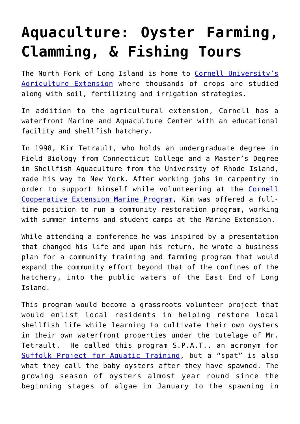## **[Aquaculture: Oyster Farming,](https://agrocouncil.org/aquaculture/) [Clamming, & Fishing Tours](https://agrocouncil.org/aquaculture/)**

The North Fork of Long Island is home to [Cornell University's](http://ccesuffolk.org/) [Agriculture Extension](http://ccesuffolk.org/) where thousands of crops are studied along with soil, fertilizing and irrigation strategies.

In addition to the agricultural extension, Cornell has a waterfront Marine and Aquaculture Center with an educational facility and shellfish hatchery.

In 1998, Kim Tetrault, who holds an undergraduate degree in Field Biology from Connecticut College and a Master's Degree in Shellfish Aquaculture from the University of Rhode Island, made his way to New York. After working jobs in carpentry in order to support himself while volunteering at the [Cornell](http://ccesuffolk.org/marine) [Cooperative Extension Marine Program,](http://ccesuffolk.org/marine) Kim was offered a fulltime position to run a community restoration program, working with summer interns and student camps at the Marine Extension.

While attending a conference he was inspired by a presentation that changed his life and upon his return, he wrote a business plan for a community training and farming program that would expand the community effort beyond that of the confines of the hatchery, into the public waters of the East End of Long Island.

This program would become a grassroots volunteer project that would enlist local residents in helping restore local shellfish life while learning to cultivate their own oysters in their own waterfront properties under the tutelage of Mr. Tetrault. He called this program S.P.A.T., an acronym for [Suffolk Project for Aquatic Training,](http://ccesuffolk.org/marine/aquaculture/spat-program) but a "spat" is also what they call the baby oysters after they have spawned. The growing season of oysters almost year round since the beginning stages of algae in January to the spawning in